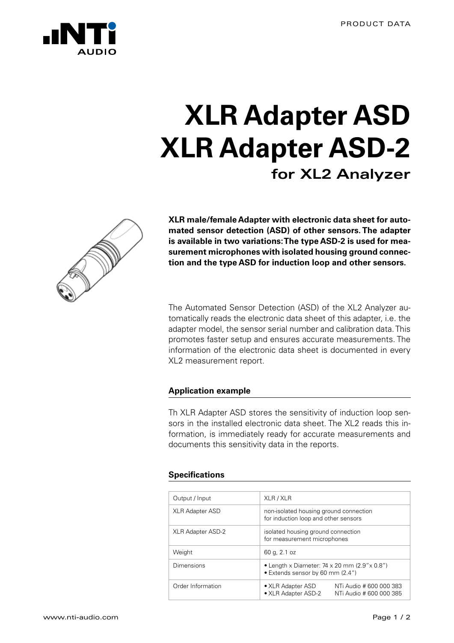

# **XLR Adapter ASD XLR Adapter ASD-2 for XL2 Analyzer**



**XLR male/female Adapter with electronic data sheet for automated sensor detection (ASD) of other sensors. The adapter is available in two variations: The type ASD-2 is used for measurement microphones with isolated housing ground connection and the type ASD for induction loop and other sensors.**

The Automated Sensor Detection (ASD) of the XL2 Analyzer automatically reads the electronic data sheet of this adapter, i.e. the adapter model, the sensor serial number and calibration data. This promotes faster setup and ensures accurate measurements. The information of the electronic data sheet is documented in every XL2 measurement report.

### **Application example**

Th XLR Adapter ASD stores the sensitivity of induction loop sensors in the installed electronic data sheet. The XL2 reads this information, is immediately ready for accurate measurements and documents this sensitivity data in the reports.

#### **Specifications**

| Output / Input           | XLR / XLR                                                                                  |                                                    |
|--------------------------|--------------------------------------------------------------------------------------------|----------------------------------------------------|
| <b>XLR Adapter ASD</b>   | non-isolated housing ground connection<br>for induction loop and other sensors             |                                                    |
| <b>XLR Adapter ASD-2</b> | isolated housing ground connection<br>for measurement microphones                          |                                                    |
| Weight                   | 60 g, 2.1 oz                                                                               |                                                    |
| Dimensions               | • Length x Diameter: 74 x 20 mm $(2.9'' \times 0.8'')$<br>• Extends sensor by 60 mm (2.4") |                                                    |
| Order Information        | • XLR Adapter ASD<br>• XLR Adapter ASD-2                                                   | NTi Audio # 600 000 383<br>NTi Audio # 600 000 385 |